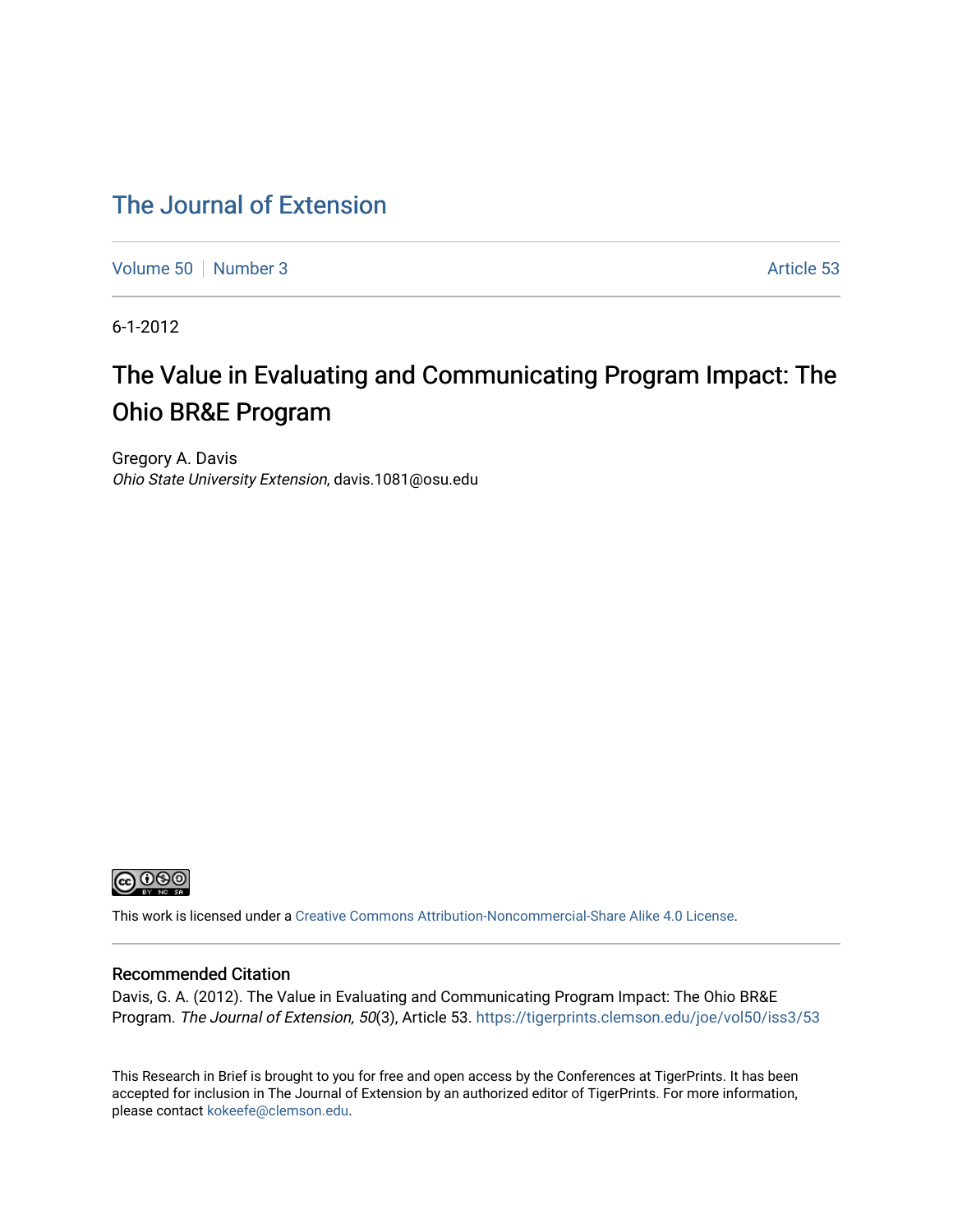# [The Journal of Extension](https://tigerprints.clemson.edu/joe)

[Volume 50](https://tigerprints.clemson.edu/joe/vol50) [Number 3](https://tigerprints.clemson.edu/joe/vol50/iss3) Article 53

6-1-2012

# The Value in Evaluating and Communicating Program Impact: The Ohio BR&E Program

Gregory A. Davis Ohio State University Extension, davis.1081@osu.edu



This work is licensed under a [Creative Commons Attribution-Noncommercial-Share Alike 4.0 License.](https://creativecommons.org/licenses/by-nc-sa/4.0/)

#### Recommended Citation

Davis, G. A. (2012). The Value in Evaluating and Communicating Program Impact: The Ohio BR&E Program. The Journal of Extension, 50(3), Article 53. <https://tigerprints.clemson.edu/joe/vol50/iss3/53>

This Research in Brief is brought to you for free and open access by the Conferences at TigerPrints. It has been accepted for inclusion in The Journal of Extension by an authorized editor of TigerPrints. For more information, please contact [kokeefe@clemson.edu](mailto:kokeefe@clemson.edu).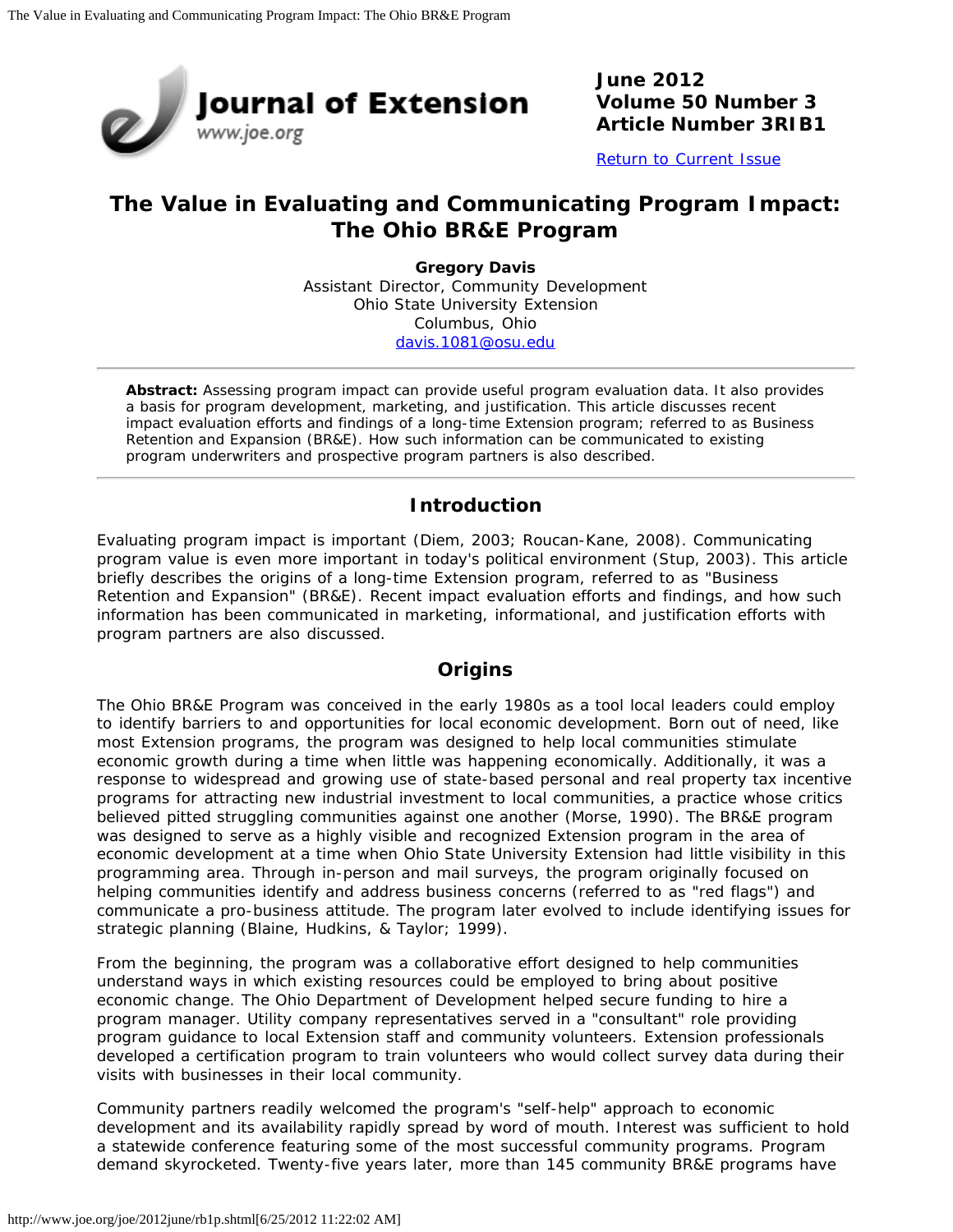

**June 2012 Volume 50 Number 3 Article Number 3RIB1**

[Return to Current Issue](http://www.joe.org/joe/2012june/)

## **The Value in Evaluating and Communicating Program Impact: The Ohio BR&E Program**

**Gregory Davis** Assistant Director, Community Development Ohio State University Extension Columbus, Ohio [davis.1081@osu.edu](mailto:davis.1081@osu.edu)

*Abstract: Assessing program impact can provide useful program evaluation data. It also provides a basis for program development, marketing, and justification. This article discusses recent impact evaluation efforts and findings of a long-time Extension program; referred to as Business Retention and Expansion (BR&E). How such information can be communicated to existing program underwriters and prospective program partners is also described.*

## **Introduction**

Evaluating program impact is important (Diem, 2003; Roucan-Kane, 2008). Communicating program value is even more important in today's political environment (Stup, 2003). This article briefly describes the origins of a long-time Extension program, referred to as "Business Retention and Expansion" (BR&E). Recent impact evaluation efforts and findings, and how such information has been communicated in marketing, informational, and justification efforts with program partners are also discussed.

#### **Origins**

The Ohio BR&E Program was conceived in the early 1980s as a tool local leaders could employ to identify barriers to and opportunities for local economic development. Born out of need, like most Extension programs, the program was designed to help local communities stimulate economic growth during a time when little was happening economically. Additionally, it was a response to widespread and growing use of state-based personal and real property tax incentive programs for attracting new industrial investment to local communities, a practice whose critics believed pitted struggling communities against one another (Morse, 1990). The BR&E program was designed to serve as a highly visible and recognized Extension program in the area of economic development at a time when Ohio State University Extension had little visibility in this programming area. Through in-person and mail surveys, the program originally focused on helping communities identify and address business concerns (referred to as "red flags") and communicate a pro-business attitude. The program later evolved to include identifying issues for strategic planning (Blaine, Hudkins, & Taylor; 1999).

From the beginning, the program was a collaborative effort designed to help communities understand ways in which existing resources could be employed to bring about positive economic change. The Ohio Department of Development helped secure funding to hire a program manager. Utility company representatives served in a "consultant" role providing program guidance to local Extension staff and community volunteers. Extension professionals developed a certification program to train volunteers who would collect survey data during their visits with businesses in their local community.

Community partners readily welcomed the program's "self-help" approach to economic development and its availability rapidly spread by word of mouth. Interest was sufficient to hold a statewide conference featuring some of the most successful community programs. Program demand skyrocketed. Twenty-five years later, more than 145 community BR&E programs have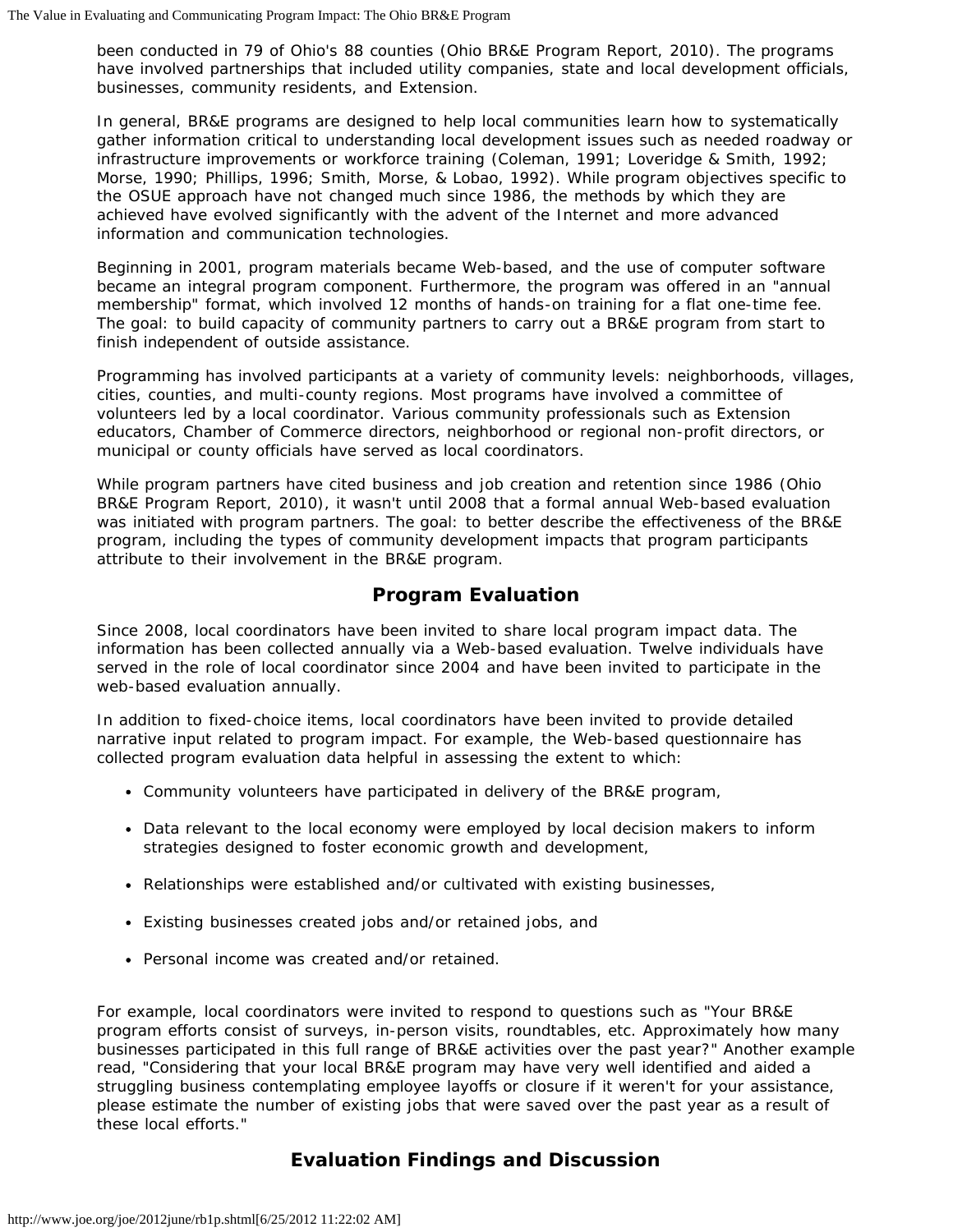been conducted in 79 of Ohio's 88 counties (Ohio BR&E Program Report, 2010). The programs have involved partnerships that included utility companies, state and local development officials, businesses, community residents, and Extension.

In general, BR&E programs are designed to help local communities learn how to systematically gather information critical to understanding local development issues such as needed roadway or infrastructure improvements or workforce training (Coleman, 1991; Loveridge & Smith, 1992; Morse, 1990; Phillips, 1996; Smith, Morse, & Lobao, 1992). While program objectives specific to the OSUE approach have not changed much since 1986, the methods by which they are achieved have evolved significantly with the advent of the Internet and more advanced information and communication technologies.

Beginning in 2001, program materials became Web-based, and the use of computer software became an integral program component. Furthermore, the program was offered in an "annual membership" format, which involved 12 months of hands-on training for a flat one-time fee. The goal: to build capacity of community partners to carry out a BR&E program from start to finish independent of outside assistance.

Programming has involved participants at a variety of community levels: neighborhoods, villages, cities, counties, and multi-county regions. Most programs have involved a committee of volunteers led by a local coordinator. Various community professionals such as Extension educators, Chamber of Commerce directors, neighborhood or regional non-profit directors, or municipal or county officials have served as local coordinators.

While program partners have cited business and job creation and retention since 1986 (Ohio BR&E Program Report, 2010), it wasn't until 2008 that a formal annual Web-based evaluation was initiated with program partners. The goal: to better describe the effectiveness of the BR&E program, including the types of community development impacts that program participants attribute to their involvement in the BR&E program.

#### **Program Evaluation**

Since 2008, local coordinators have been invited to share local program impact data. The information has been collected annually via a Web-based evaluation. Twelve individuals have served in the role of local coordinator since 2004 and have been invited to participate in the web-based evaluation annually.

In addition to fixed-choice items, local coordinators have been invited to provide detailed narrative input related to program impact. For example, the Web-based questionnaire has collected program evaluation data helpful in assessing the extent to which:

- Community volunteers have participated in delivery of the BR&E program,
- Data relevant to the local economy were employed by local decision makers to inform strategies designed to foster economic growth and development,
- Relationships were established and/or cultivated with existing businesses,
- Existing businesses created jobs and/or retained jobs, and
- Personal income was created and/or retained.

For example, local coordinators were invited to respond to questions such as "Your BR&E program efforts consist of surveys, in-person visits, roundtables, etc. Approximately how many businesses participated in this full range of BR&E activities over the past year?" Another example read, "Considering that your local BR&E program may have very well identified and aided a struggling business contemplating employee layoffs or closure if it weren't for your assistance, please estimate the number of existing jobs that were saved over the past year as a result of these local efforts."

#### **Evaluation Findings and Discussion**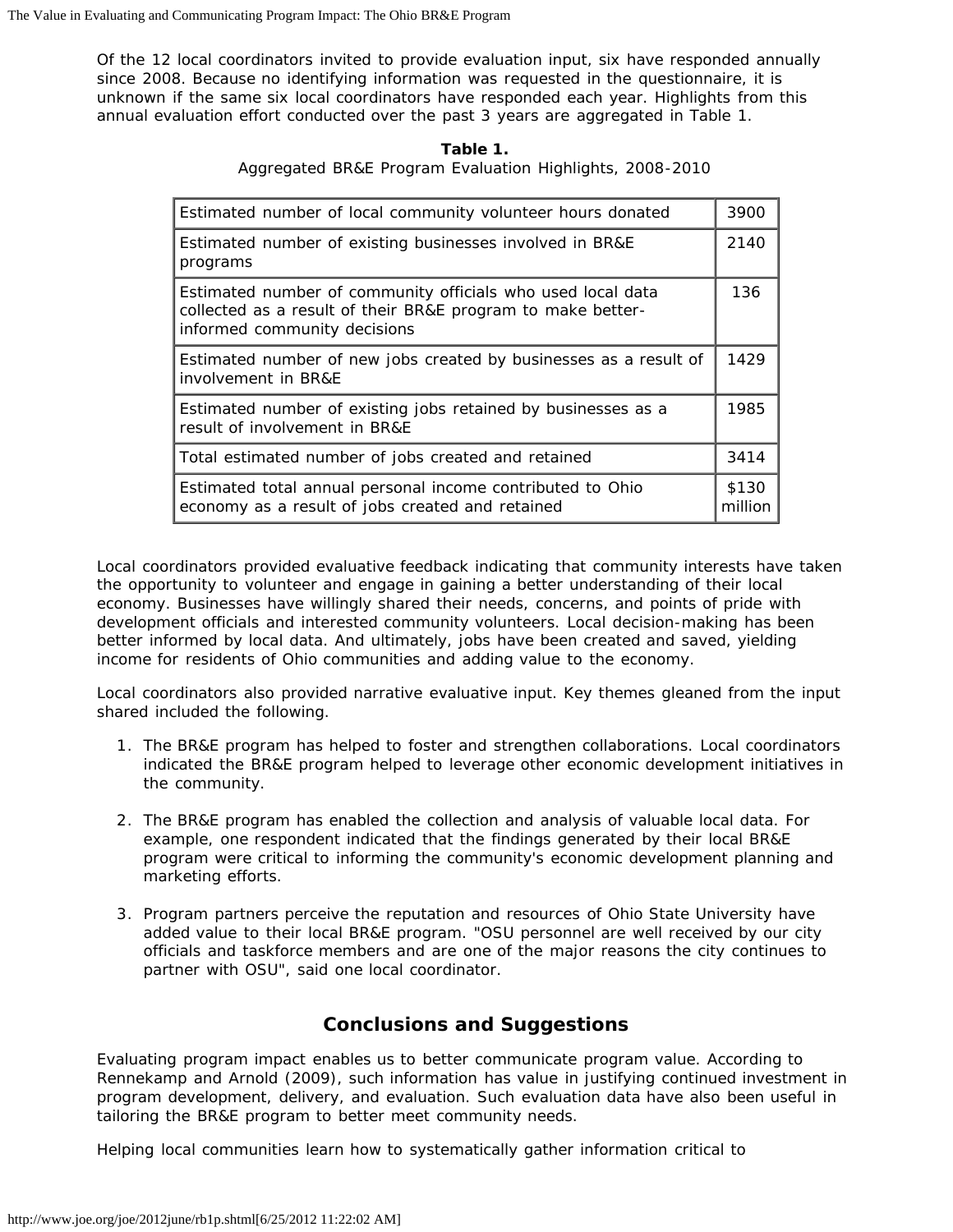Of the 12 local coordinators invited to provide evaluation input, six have responded annually since 2008. Because no identifying information was requested in the questionnaire, it is unknown if the same six local coordinators have responded each year. Highlights from this annual evaluation effort conducted over the past 3 years are aggregated in Table 1.

| Table 1.                                                 |  |  |  |  |  |
|----------------------------------------------------------|--|--|--|--|--|
| Aggregated BR&E Program Evaluation Highlights, 2008-2010 |  |  |  |  |  |

| Estimated number of local community volunteer hours donated                                                                                                |  |  |  |
|------------------------------------------------------------------------------------------------------------------------------------------------------------|--|--|--|
| Estimated number of existing businesses involved in BR&E<br>programs                                                                                       |  |  |  |
| Estimated number of community officials who used local data<br>collected as a result of their BR&E program to make better-<br>informed community decisions |  |  |  |
| Estimated number of new jobs created by businesses as a result of<br>involvement in BR&E                                                                   |  |  |  |
| Estimated number of existing jobs retained by businesses as a<br>result of involvement in BR&E                                                             |  |  |  |
| Total estimated number of jobs created and retained                                                                                                        |  |  |  |
| Estimated total annual personal income contributed to Ohio<br>economy as a result of jobs created and retained                                             |  |  |  |

Local coordinators provided evaluative feedback indicating that community interests have taken the opportunity to volunteer and engage in gaining a better understanding of their local economy. Businesses have willingly shared their needs, concerns, and points of pride with development officials and interested community volunteers. Local decision-making has been better informed by local data. And ultimately, jobs have been created and saved, yielding income for residents of Ohio communities and adding value to the economy.

Local coordinators also provided narrative evaluative input. Key themes gleaned from the input shared included the following.

- 1. The BR&E program has helped to foster and strengthen collaborations. Local coordinators indicated the BR&E program helped to leverage other economic development initiatives in the community.
- 2. The BR&E program has enabled the collection and analysis of valuable local data. For example, one respondent indicated that the findings generated by their local BR&E program were critical to informing the community's economic development planning and marketing efforts.
- 3. Program partners perceive the reputation and resources of Ohio State University have added value to their local BR&E program. "OSU personnel are well received by our city officials and taskforce members and are one of the major reasons the city continues to partner with OSU", said one local coordinator.

## **Conclusions and Suggestions**

Evaluating program impact enables us to better communicate program value. According to Rennekamp and Arnold (2009), such information has value in justifying continued investment in program development, delivery, and evaluation. Such evaluation data have also been useful in tailoring the BR&E program to better meet community needs.

Helping local communities learn how to systematically gather information critical to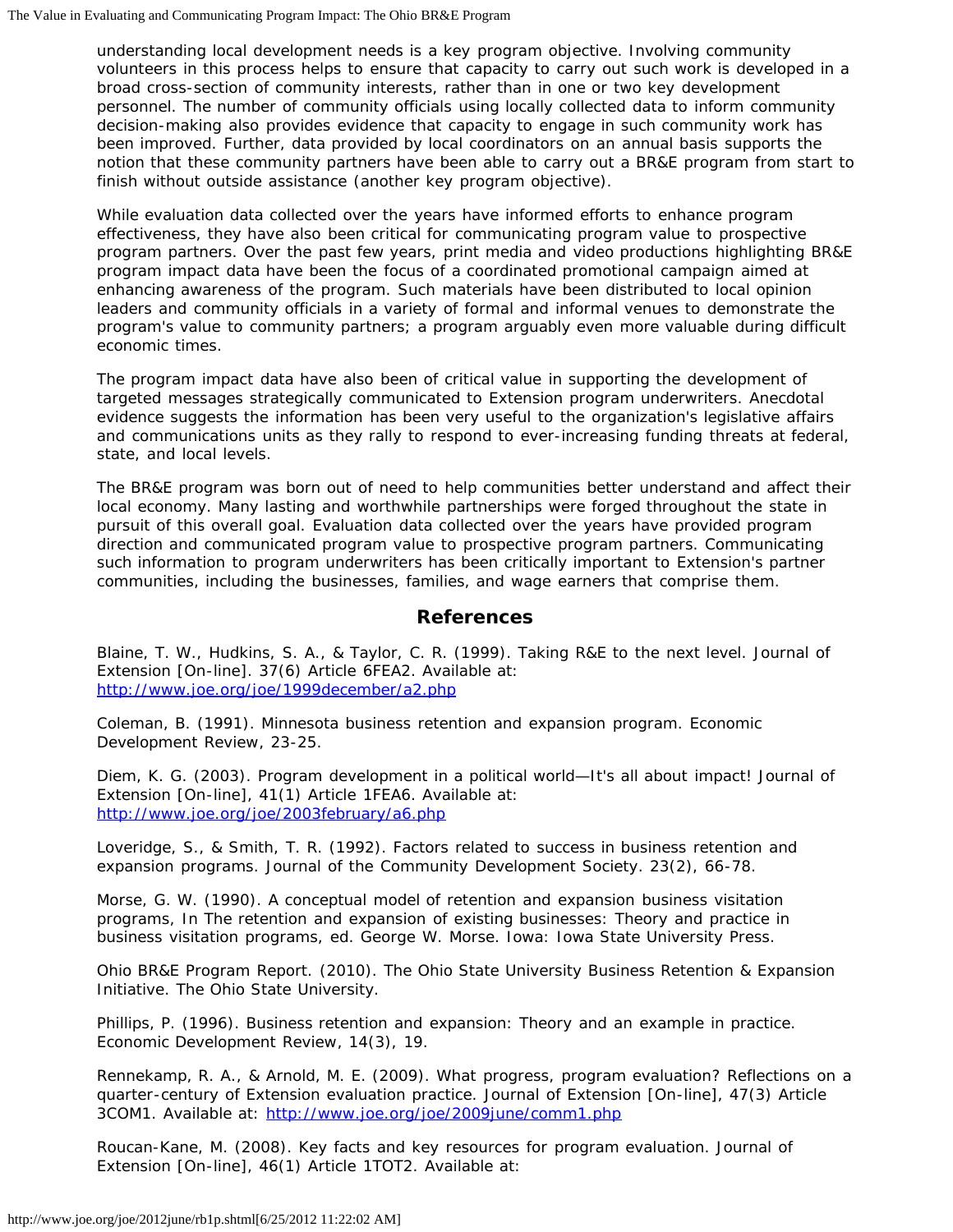understanding local development needs is a key program objective. Involving community volunteers in this process helps to ensure that capacity to carry out such work is developed in a broad cross-section of community interests, rather than in one or two key development personnel. The number of community officials using locally collected data to inform community decision-making also provides evidence that capacity to engage in such community work has been improved. Further, data provided by local coordinators on an annual basis supports the notion that these community partners have been able to carry out a BR&E program from start to finish without outside assistance (another key program objective).

While evaluation data collected over the years have informed efforts to enhance program effectiveness, they have also been critical for communicating program value to prospective program partners. Over the past few years, print media and video productions highlighting BR&E program impact data have been the focus of a coordinated promotional campaign aimed at enhancing awareness of the program. Such materials have been distributed to local opinion leaders and community officials in a variety of formal and informal venues to demonstrate the program's value to community partners; a program arguably even more valuable during difficult economic times.

The program impact data have also been of critical value in supporting the development of targeted messages strategically communicated to Extension program underwriters. Anecdotal evidence suggests the information has been very useful to the organization's legislative affairs and communications units as they rally to respond to ever-increasing funding threats at federal, state, and local levels.

The BR&E program was born out of need to help communities better understand and affect their local economy. Many lasting and worthwhile partnerships were forged throughout the state in pursuit of this overall goal. Evaluation data collected over the years have provided program direction and communicated program value to prospective program partners. Communicating such information to program underwriters has been critically important to Extension's partner communities, including the businesses, families, and wage earners that comprise them.

#### **References**

Blaine, T. W., Hudkins, S. A., & Taylor, C. R. (1999). Taking R&E to the next level. *Journal of Extension* [On-line]. 37(6) Article 6FEA2. Available at: <http://www.joe.org/joe/1999december/a2.php>

Coleman, B. (1991). Minnesota business retention and expansion program. *Economic Development Review*, 23-25.

Diem, K. G. (2003). Program development in a political world—It's all about impact! *Journal of Extension* [On-line], 41(1) Article 1FEA6. Available at: <http://www.joe.org/joe/2003february/a6.php>

Loveridge, S., & Smith, T. R. (1992). Factors related to success in business retention and expansion programs. *Journal of the Community Development Society*. 23(2), 66-78.

Morse, G. W. (1990). A conceptual model of retention and expansion business visitation programs, In *The retention and expansion of existing businesses: Theory and practice in business visitation programs,* ed. George W. Morse. Iowa: Iowa State University Press.

Ohio BR&E Program Report. (2010). *The Ohio State University Business Retention & Expansion Initiative*. The Ohio State University.

Phillips, P. (1996). Business retention and expansion: Theory and an example in practice. *Economic Development Review*, 14(3), 19.

Rennekamp, R. A., & Arnold, M. E. (2009). What progress, program evaluation? Reflections on a quarter-century of Extension evaluation practice. *Journal of Extension* [On-line], 47(3) Article 3COM1. Available at: <http://www.joe.org/joe/2009june/comm1.php>

Roucan-Kane, M. (2008). Key facts and key resources for program evaluation. *Journal of Extension* [On-line], 46(1) Article 1TOT2. Available at: